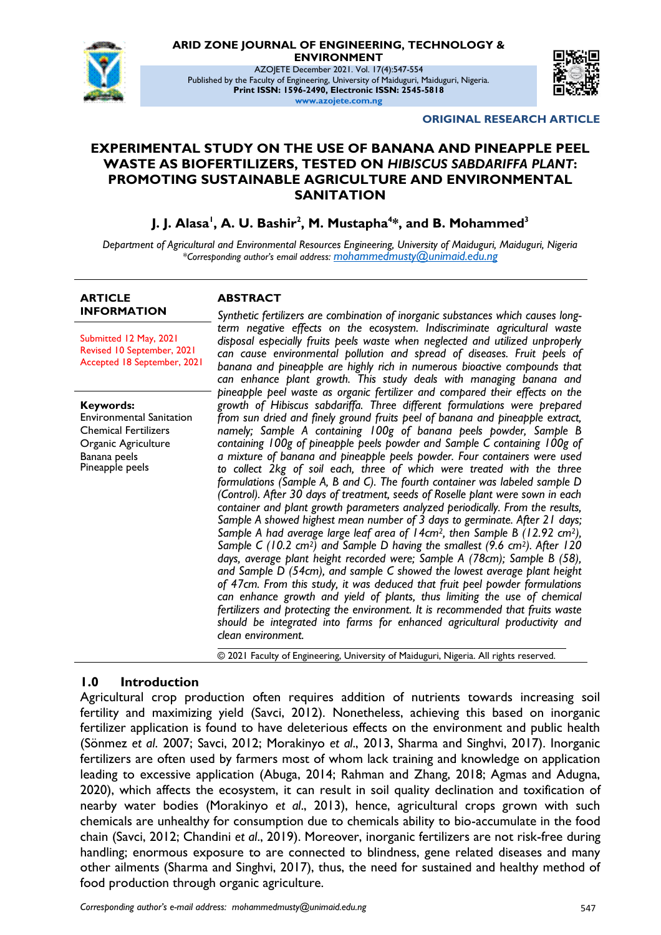

**ARID ZONE JOURNAL OF ENGINEERING, TECHNOLOGY &** 

**ENVIRONMENT**

AZOJETE December 2021. Vol. 17(4):547-554 Published by the Faculty of Engineering, University of Maiduguri, Maiduguri, Nigeria. **Print ISSN: 1596-2490, Electronic ISSN: 2545-5818 www.azojete.com.ng**



#### **ORIGINAL RESEARCH ARTICLE**

## **EXPERIMENTAL STUDY ON THE USE OF BANANA AND PINEAPPLE PEEL WASTE AS BIOFERTILIZERS, TESTED ON** *HIBISCUS SABDARIFFA PLANT***: PROMOTING SUSTAINABLE AGRICULTURE AND ENVIRONMENTAL SANITATION**

**J. J. Alasa<sup>1</sup> , A. U. Bashir<sup>2</sup> , M. Mustapha<sup>4</sup> \*, and B. Mohammed<sup>3</sup>**

*Department of Agricultural and Environmental Resources Engineering, University of Maiduguri, Maiduguri, Nigeria \*Corresponding author's email address: mohammedmusty@unimaid.edu.ng*

#### **ARTICLE INFORMATION**

**ABSTRACT**

Submitted 12 May, 2021 Revised 10 September, 2021 Accepted 18 September, 2021

**Keywords:** Environmental Sanitation Chemical Fertilizers Organic Agriculture Banana peels Pineapple peels

*Synthetic fertilizers are combination of inorganic substances which causes longterm negative effects on the ecosystem. Indiscriminate agricultural waste disposal especially fruits peels waste when neglected and utilized unproperly can cause environmental pollution and spread of diseases. Fruit peels of banana and pineapple are highly rich in numerous bioactive compounds that can enhance plant growth. This study deals with managing banana and pineapple peel waste as organic fertilizer and compared their effects on the growth of Hibiscus sabdariffa. Three different formulations were prepared from sun dried and finely ground fruits peel of banana and pineapple extract, namely; Sample A containing 100g of banana peels powder, Sample B containing 100g of pineapple peels powder and Sample C containing 100g of a mixture of banana and pineapple peels powder. Four containers were used to collect 2kg of soil each, three of which were treated with the three formulations (Sample A, B and C). The fourth container was labeled sample D (Control). After 30 days of treatment, seeds of Roselle plant were sown in each container and plant growth parameters analyzed periodically. From the results, Sample A showed highest mean number of 3 days to germinate. After 21 days; Sample A had average large leaf area of 14cm2, then Sample B (12.92 cm2), Sample C (10.2 cm2) and Sample D having the smallest (9.6 cm2). After 120 days, average plant height recorded were; Sample A (78cm); Sample B (58), and Sample D (54cm), and sample C showed the lowest average plant height of 47cm. From this study, it was deduced that fruit peel powder formulations can enhance growth and yield of plants, thus limiting the use of chemical fertilizers and protecting the environment. It is recommended that fruits waste should be integrated into farms for enhanced agricultural productivity and clean environment.*

© 2021 Faculty of Engineering, University of Maiduguri, Nigeria. All rights reserved.

## **1.0 Introduction**

Agricultural crop production often requires addition of nutrients towards increasing soil fertility and maximizing yield (Savci, 2012). Nonetheless, achieving this based on inorganic fertilizer application is found to have deleterious effects on the environment and public health (Sönmez *et al*. 2007; Savci, 2012; Morakinyo *et al*., 2013, Sharma and Singhvi, 2017). Inorganic fertilizers are often used by farmers most of whom lack training and knowledge on application leading to excessive application (Abuga, 2014; Rahman and Zhang, 2018; Agmas and Adugna, 2020), which affects the ecosystem, it can result in soil quality declination and toxification of nearby water bodies (Morakinyo *et al*., 2013), hence, agricultural crops grown with such chemicals are unhealthy for consumption due to chemicals ability to bio-accumulate in the food chain (Savci, 2012; Chandini *et al*., 2019). Moreover, inorganic fertilizers are not risk-free during handling; enormous exposure to are connected to blindness, gene related diseases and many other ailments (Sharma and Singhvi, 2017), thus, the need for sustained and healthy method of food production through organic agriculture.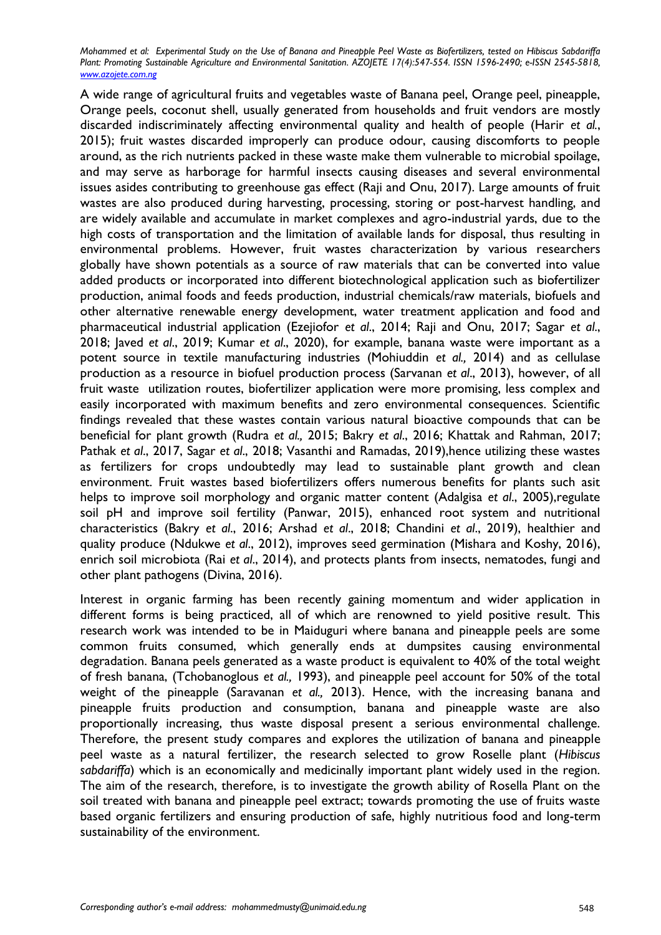A wide range of agricultural fruits and vegetables waste of Banana peel, Orange peel, pineapple, Orange peels, coconut shell, usually generated from households and fruit vendors are mostly discarded indiscriminately affecting environmental quality and health of people (Harir *et al.*, 2015); fruit wastes discarded improperly can produce odour, causing discomforts to people around, as the rich nutrients packed in these waste make them vulnerable to microbial spoilage, and may serve as harborage for harmful insects causing diseases and several environmental issues asides contributing to greenhouse gas effect (Raji and Onu, 2017). Large amounts of fruit wastes are also produced during harvesting, processing, storing or post-harvest handling, and are widely available and accumulate in market complexes and agro-industrial yards, due to the high costs of transportation and the limitation of available lands for disposal, thus resulting in environmental problems. However, fruit wastes characterization by various researchers globally have shown potentials as a source of raw materials that can be converted into value added products or incorporated into different biotechnological application such as biofertilizer production, animal foods and feeds production, industrial chemicals/raw materials, biofuels and other alternative renewable energy development, water treatment application and food and pharmaceutical industrial application (Ezejiofor *et al*., 2014; Raji and Onu, 2017; Sagar *et al*., 2018; Javed *et al*., 2019; Kumar *et al*., 2020), for example, banana waste were important as a potent source in textile manufacturing industries (Mohiuddin *et al.,* 2014) and as cellulase production as a resource in biofuel production process (Sarvanan *et al*., 2013), however, of all fruit waste utilization routes, biofertilizer application were more promising, less complex and easily incorporated with maximum benefits and zero environmental consequences. Scientific findings revealed that these wastes contain various natural bioactive compounds that can be beneficial for plant growth (Rudra *et al.,* 2015; Bakry *et al*., 2016; Khattak and Rahman, 2017; Pathak *et al*., 2017, Sagar *et al*., 2018; Vasanthi and Ramadas, 2019),hence utilizing these wastes as fertilizers for crops undoubtedly may lead to sustainable plant growth and clean environment. Fruit wastes based biofertilizers offers numerous benefits for plants such asit helps to improve soil morphology and organic matter content (Adalgisa *et al*., 2005),regulate soil pH and improve soil fertility (Panwar, 2015), enhanced root system and nutritional characteristics (Bakry *et al*., 2016; Arshad *et al*., 2018; Chandini *et al*., 2019), healthier and quality produce (Ndukwe *et al*., 2012), improves seed germination (Mishara and Koshy, 2016), enrich soil microbiota (Rai *et al*., 2014), and protects plants from insects, nematodes, fungi and other plant pathogens (Divina, 2016).

Interest in organic farming has been recently gaining momentum and wider application in different forms is being practiced, all of which are renowned to yield positive result. This research work was intended to be in Maiduguri where banana and pineapple peels are some common fruits consumed, which generally ends at dumpsites causing environmental degradation. Banana peels generated as a waste product is equivalent to 40% of the total weight of fresh banana, (Tchobanoglous *et al.,* 1993), and pineapple peel account for 50% of the total weight of the pineapple (Saravanan *et al.,* 2013). Hence, with the increasing banana and pineapple fruits production and consumption, banana and pineapple waste are also proportionally increasing, thus waste disposal present a serious environmental challenge. Therefore, the present study compares and explores the utilization of banana and pineapple peel waste as a natural fertilizer, the research selected to grow Roselle plant (*Hibiscus sabdariffa*) which is an economically and medicinally important plant widely used in the region. The aim of the research, therefore, is to investigate the growth ability of Rosella Plant on the soil treated with banana and pineapple peel extract; towards promoting the use of fruits waste based organic fertilizers and ensuring production of safe, highly nutritious food and long-term sustainability of the environment.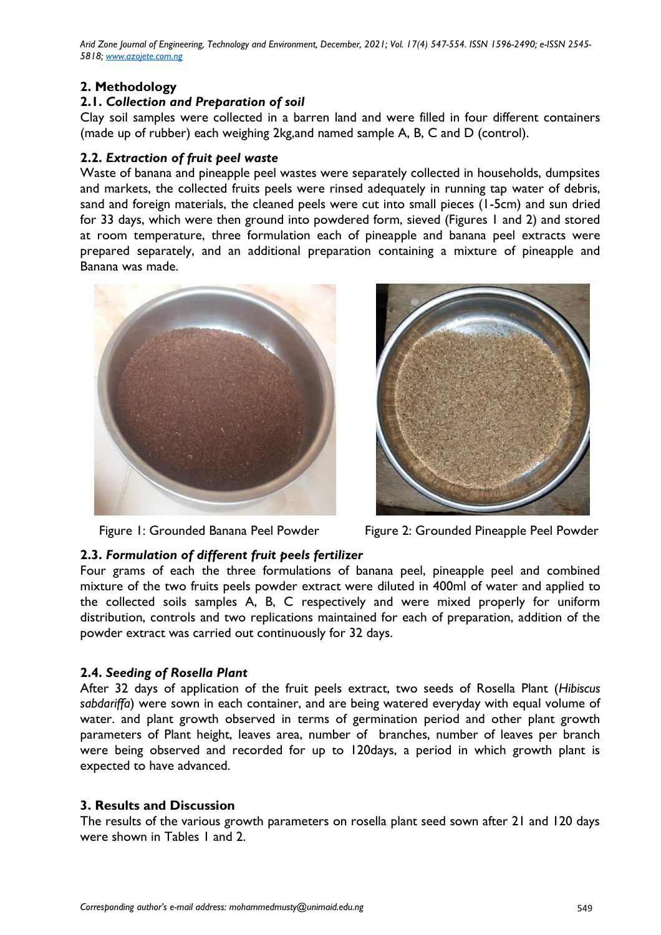*Arid Zone Journal of Engineering, Technology and Environment, December, 2021; Vol. 17(4) 547-554. ISSN 1596-2490; e-ISSN 2545- 5818; www.azojete.com.ng*

# **2. Methodology**

## **2.1.** *Collection and Preparation of soil*

Clay soil samples were collected in a barren land and were filled in four different containers (made up of rubber) each weighing 2kg,and named sample A, B, C and D (control).

## **2.2.** *Extraction of fruit peel waste*

Waste of banana and pineapple peel wastes were separately collected in households, dumpsites and markets, the collected fruits peels were rinsed adequately in running tap water of debris, sand and foreign materials, the cleaned peels were cut into small pieces (1-5cm) and sun dried for 33 days, which were then ground into powdered form, sieved (Figures 1 and 2) and stored at room temperature, three formulation each of pineapple and banana peel extracts were prepared separately, and an additional preparation containing a mixture of pineapple and Banana was made.





Figure 1: Grounded Banana Peel Powder Figure 2: Grounded Pineapple Peel Powder

# **2.3.** *Formulation of different fruit peels fertilizer*

Four grams of each the three formulations of banana peel, pineapple peel and combined mixture of the two fruits peels powder extract were diluted in 400ml of water and applied to the collected soils samples A, B, C respectively and were mixed properly for uniform distribution, controls and two replications maintained for each of preparation, addition of the powder extract was carried out continuously for 32 days.

## **2.4.** *Seeding of Rosella Plant*

After 32 days of application of the fruit peels extract, two seeds of Rosella Plant (*Hibiscus sabdariffa*) were sown in each container, and are being watered everyday with equal volume of water. and plant growth observed in terms of germination period and other plant growth parameters of Plant height, leaves area, number of branches, number of leaves per branch were being observed and recorded for up to 120days, a period in which growth plant is expected to have advanced.

## **3. Results and Discussion**

The results of the various growth parameters on rosella plant seed sown after 21 and 120 days were shown in Tables 1 and 2.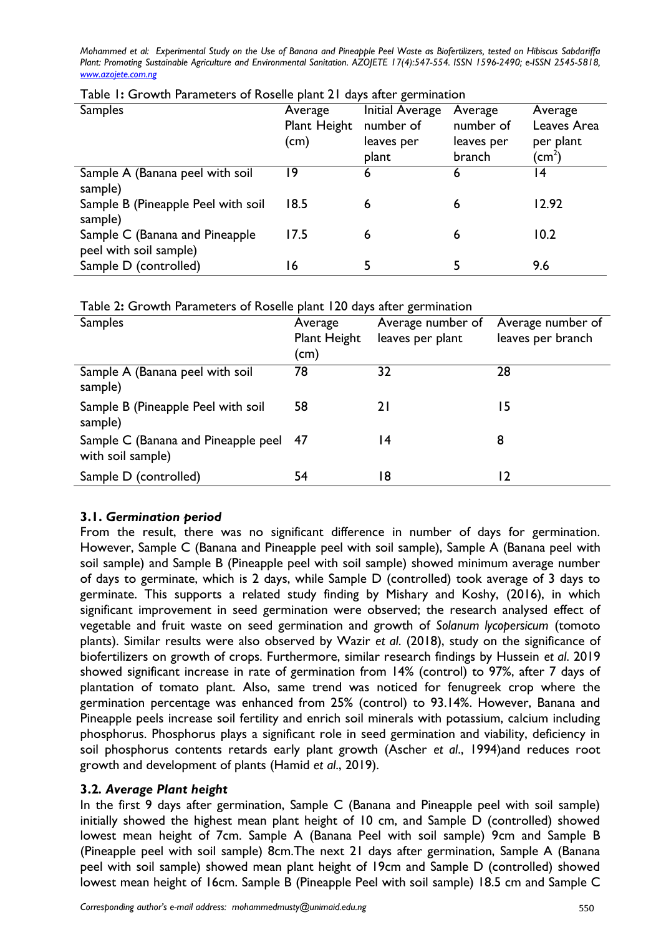| $-4/2$ and $-6/2$                  |              |                        |            |              |  |  |  |
|------------------------------------|--------------|------------------------|------------|--------------|--|--|--|
| <b>Samples</b>                     | Average      | <b>Initial Average</b> | Average    | Average      |  |  |  |
|                                    | Plant Height | number of              | number of  | Leaves Area  |  |  |  |
|                                    | (cm)         | leaves per             | leaves per | per plant    |  |  |  |
|                                    |              | plant                  | branch     | $\rm (cm^2)$ |  |  |  |
| Sample A (Banana peel with soil    | 19           | o                      | 6          | 4            |  |  |  |
| sample)                            |              |                        |            |              |  |  |  |
| Sample B (Pineapple Peel with soil | 18.5         | 6                      | 6          | 12.92        |  |  |  |
| sample)                            |              |                        |            |              |  |  |  |
| Sample C (Banana and Pineapple     | 17.5         | 6                      | 6          | 10.2         |  |  |  |
| peel with soil sample)             |              |                        |            |              |  |  |  |
| Sample D (controlled)              | 16           |                        |            | 9.6          |  |  |  |
|                                    |              |                        |            |              |  |  |  |

|  | Table 1: Growth Parameters of Roselle plant 21 days after germination |  |  |  |  |
|--|-----------------------------------------------------------------------|--|--|--|--|
|  |                                                                       |  |  |  |  |

Table 2**:** Growth Parameters of Roselle plant 120 days after germination

| <b>Samples</b>                                              | Average<br>Plant Height<br>(cm) | Average number of<br>leaves per plant | Average number of<br>leaves per branch |
|-------------------------------------------------------------|---------------------------------|---------------------------------------|----------------------------------------|
| Sample A (Banana peel with soil<br>sample)                  | 78                              | 32                                    | 28                                     |
| Sample B (Pineapple Peel with soil<br>sample)               | 58                              |                                       | 15                                     |
| Sample C (Banana and Pineapple peel 47<br>with soil sample) |                                 | 14                                    | 8                                      |
| Sample D (controlled)                                       | 54                              | 18                                    | 12                                     |

## **3.1.** *Germination period*

From the result, there was no significant difference in number of days for germination. However, Sample C (Banana and Pineapple peel with soil sample), Sample A (Banana peel with soil sample) and Sample B (Pineapple peel with soil sample) showed minimum average number of days to germinate, which is 2 days, while Sample D (controlled) took average of 3 days to germinate. This supports a related study finding by Mishary and Koshy, (2016), in which significant improvement in seed germination were observed; the research analysed effect of vegetable and fruit waste on seed germination and growth of *Solanum lycopersicum* (tomoto plants). Similar results were also observed by Wazir *et al*. (2018), study on the significance of biofertilizers on growth of crops. Furthermore, similar research findings by Hussein *et al*. 2019 showed significant increase in rate of germination from 14% (control) to 97%, after 7 days of plantation of tomato plant. Also, same trend was noticed for fenugreek crop where the germination percentage was enhanced from 25% (control) to 93.14%. However, Banana and Pineapple peels increase soil fertility and enrich soil minerals with potassium, calcium including phosphorus. Phosphorus plays a significant role in seed germination and viability, deficiency in soil phosphorus contents retards early plant growth (Ascher *et al*., 1994)and reduces root growth and development of plants (Hamid *et al*., 2019).

# **3.2***. Average Plant height*

In the first 9 days after germination, Sample C (Banana and Pineapple peel with soil sample) initially showed the highest mean plant height of 10 cm, and Sample D (controlled) showed lowest mean height of 7cm. Sample A (Banana Peel with soil sample) 9cm and Sample B (Pineapple peel with soil sample) 8cm.The next 21 days after germination, Sample A (Banana peel with soil sample) showed mean plant height of 19cm and Sample D (controlled) showed lowest mean height of 16cm. Sample B (Pineapple Peel with soil sample) 18.5 cm and Sample C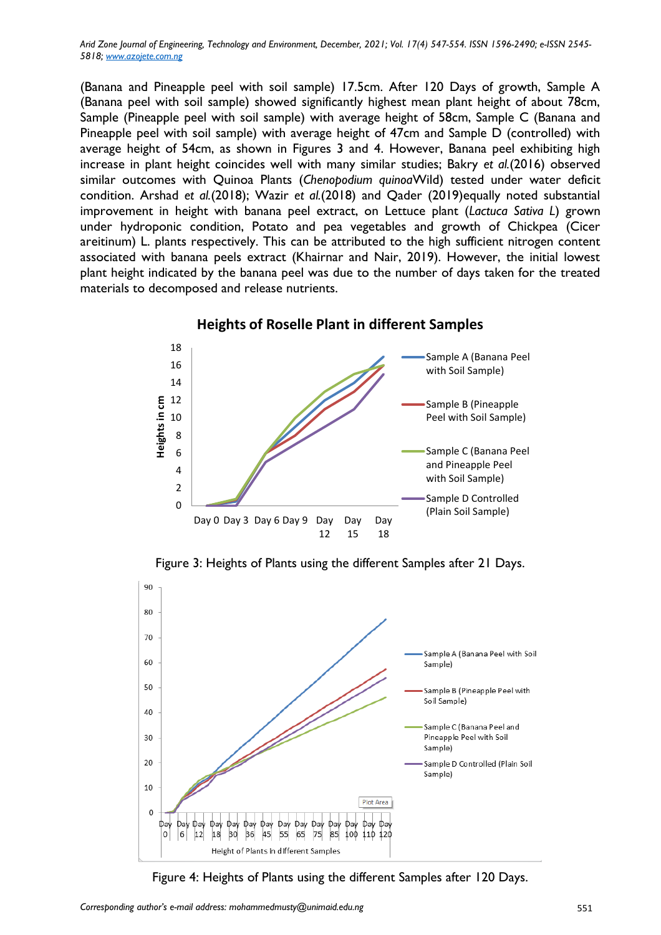*Arid Zone Journal of Engineering, Technology and Environment, December, 2021; Vol. 17(4) 547-554. ISSN 1596-2490; e-ISSN 2545- 5818; www.azojete.com.ng*

(Banana and Pineapple peel with soil sample) 17.5cm. After 120 Days of growth, Sample A (Banana peel with soil sample) showed significantly highest mean plant height of about 78cm, Sample (Pineapple peel with soil sample) with average height of 58cm, Sample C (Banana and Pineapple peel with soil sample) with average height of 47cm and Sample D (controlled) with average height of 54cm, as shown in Figures 3 and 4. However, Banana peel exhibiting high increase in plant height coincides well with many similar studies; Bakry *et al.*(2016) observed similar outcomes with Quinoa Plants (*Chenopodium quinoa*Wild) tested under water deficit condition. Arshad *et al.*(2018); Wazir *et al.*(2018) and Qader (2019)equally noted substantial improvement in height with banana peel extract, on Lettuce plant (*Lactuca Sativa L*) grown under hydroponic condition, Potato and pea vegetables and growth of Chickpea (Cicer areitinum) L. plants respectively. This can be attributed to the high sufficient nitrogen content associated with banana peels extract (Khairnar and Nair, 2019). However, the initial lowest plant height indicated by the banana peel was due to the number of days taken for the treated materials to decomposed and release nutrients.



Figure 3: Heights of Plants using the different Samples after 21 Days.



Figure 4: Heights of Plants using the different Samples after 120 Days.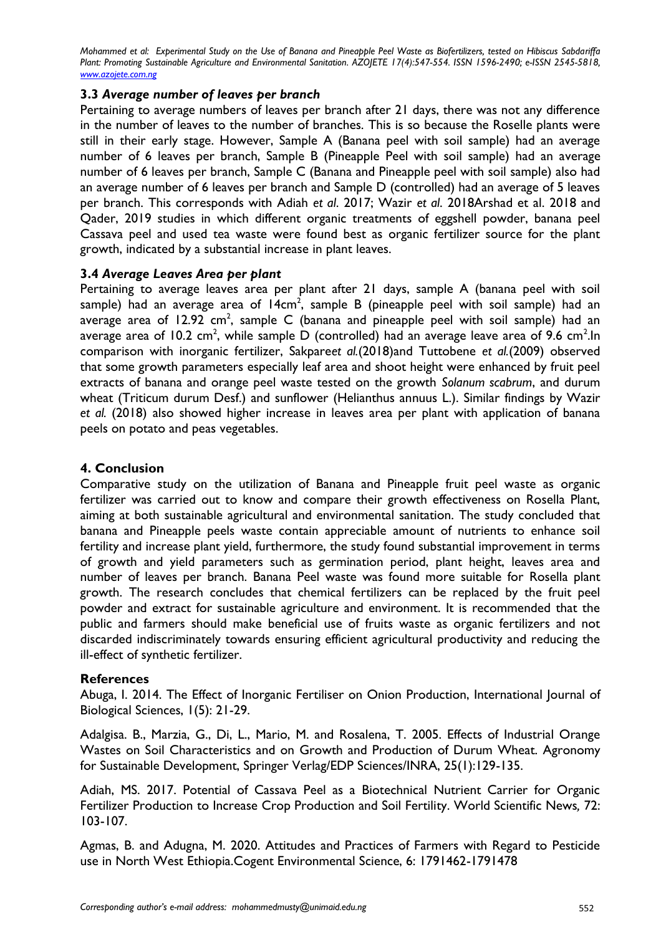#### **3.3** *Average number of leaves per branch*

Pertaining to average numbers of leaves per branch after 21 days, there was not any difference in the number of leaves to the number of branches. This is so because the Roselle plants were still in their early stage. However, Sample A (Banana peel with soil sample) had an average number of 6 leaves per branch, Sample B (Pineapple Peel with soil sample) had an average number of 6 leaves per branch, Sample C (Banana and Pineapple peel with soil sample) also had an average number of 6 leaves per branch and Sample D (controlled) had an average of 5 leaves per branch. This corresponds with Adiah *et al*. 2017; Wazir *et al*. 2018Arshad et al. 2018 and Qader, 2019 studies in which different organic treatments of eggshell powder, banana peel Cassava peel and used tea waste were found best as organic fertilizer source for the plant growth, indicated by a substantial increase in plant leaves.

#### **3.4** *Average Leaves Area per plant*

Pertaining to average leaves area per plant after 21 days, sample A (banana peel with soil sample) had an average area of 14 $cm^2$ , sample B (pineapple peel with soil sample) had an average area of 12.92 cm<sup>2</sup>, sample C (banana and pineapple peel with soil sample) had an average area of 10.2 cm<sup>2</sup>, while sample D (controlled) had an average leave area of 9.6 cm<sup>2</sup>.In comparison with inorganic fertilizer, Sakpare*et al.*(2018)and Tuttobene *et al.*(2009) observed that some growth parameters especially leaf area and shoot height were enhanced by fruit peel extracts of banana and orange peel waste tested on the growth *Solanum scabrum*, and durum wheat (Triticum durum Desf.) and sunflower (Helianthus annuus L.). Similar findings by Wazir *et al.* (2018) also showed higher increase in leaves area per plant with application of banana peels on potato and peas vegetables.

## **4. Conclusion**

Comparative study on the utilization of Banana and Pineapple fruit peel waste as organic fertilizer was carried out to know and compare their growth effectiveness on Rosella Plant, aiming at both sustainable agricultural and environmental sanitation. The study concluded that banana and Pineapple peels waste contain appreciable amount of nutrients to enhance soil fertility and increase plant yield, furthermore, the study found substantial improvement in terms of growth and yield parameters such as germination period, plant height, leaves area and number of leaves per branch. Banana Peel waste was found more suitable for Rosella plant growth. The research concludes that chemical fertilizers can be replaced by the fruit peel powder and extract for sustainable agriculture and environment. It is recommended that the public and farmers should make beneficial use of fruits waste as organic fertilizers and not discarded indiscriminately towards ensuring efficient agricultural productivity and reducing the ill-effect of synthetic fertilizer.

#### **References**

Abuga, I. 2014. The Effect of Inorganic Fertiliser on Onion Production, International Journal of Biological Sciences, 1(5): 21-29.

Adalgisa. B., Marzia, G., Di, L., Mario, M. and Rosalena, T. 2005. Effects of Industrial Orange Wastes on Soil Characteristics and on Growth and Production of Durum Wheat. Agronomy for Sustainable Development, Springer Verlag/EDP Sciences/INRA, 25(1):129-135.

Adiah, MS. 2017. Potential of Cassava Peel as a Biotechnical Nutrient Carrier for Organic Fertilizer Production to Increase Crop Production and Soil Fertility. World Scientific News*,* 72: 103-107.

Agmas, B. and Adugna, M. 2020. Attitudes and Practices of Farmers with Regard to Pesticide use in North West Ethiopia.Cogent Environmental Science, 6: 1791462-1791478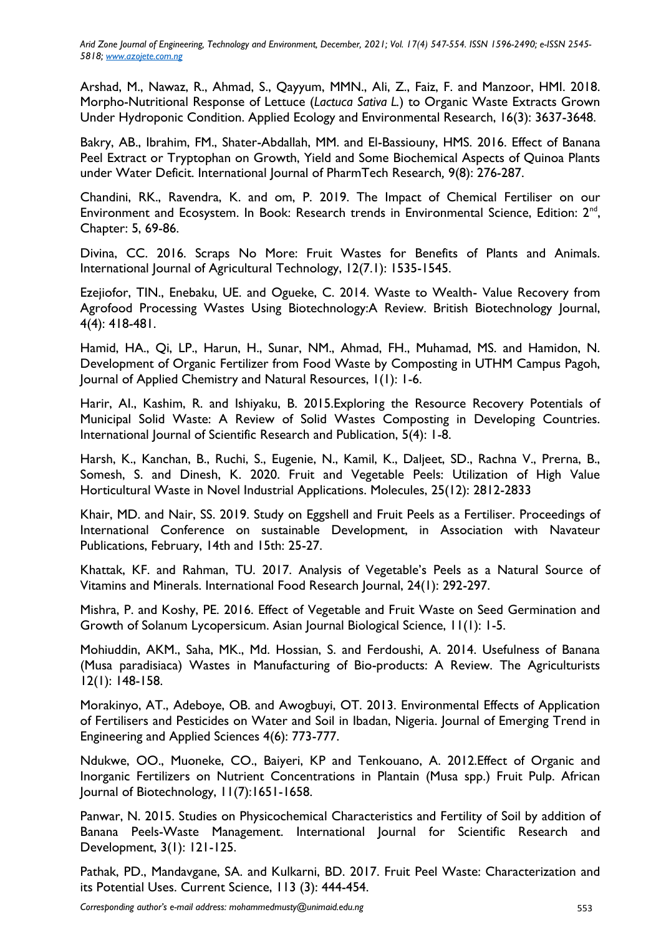*Arid Zone Journal of Engineering, Technology and Environment, December, 2021; Vol. 17(4) 547-554. ISSN 1596-2490; e-ISSN 2545- 5818; www.azojete.com.ng*

Arshad, M., Nawaz, R., Ahmad, S., Qayyum, MMN., Ali, Z., Faiz, F. and Manzoor, HMI. 2018. Morpho-Nutritional Response of Lettuce (*Lactuca Sativa L.*) to Organic Waste Extracts Grown Under Hydroponic Condition. Applied Ecology and Environmental Research, 16(3): 3637-3648.

Bakry, AB., Ibrahim, FM., Shater-Abdallah, MM. and El-Bassiouny, HMS. 2016. Effect of Banana Peel Extract or Tryptophan on Growth, Yield and Some Biochemical Aspects of Quinoa Plants under Water Deficit. International Journal of PharmTech Research*,* 9(8): 276-287.

Chandini, RK., Ravendra, K. and om, P. 2019. The Impact of Chemical Fertiliser on our Environment and Ecosystem. In Book: Research trends in Environmental Science, Edition: 2<sup>nd</sup>, Chapter: 5, 69-86.

Divina, CC. 2016. Scraps No More: Fruit Wastes for Benefits of Plants and Animals. International Journal of Agricultural Technology, 12(7.1): 1535-1545.

Ezejiofor, TIN., Enebaku, UE. and Ogueke, C. 2014. Waste to Wealth- Value Recovery from Agrofood Processing Wastes Using Biotechnology:A Review*.* British Biotechnology Journal, 4(4): 418-481.

Hamid, HA., Qi, LP., Harun, H., Sunar, NM., Ahmad, FH., Muhamad, MS. and Hamidon, N. Development of Organic Fertilizer from Food Waste by Composting in UTHM Campus Pagoh, Journal of Applied Chemistry and Natural Resources, 1(1): 1-6.

Harir, AI., Kashim, R. and Ishiyaku, B. 2015.Exploring the Resource Recovery Potentials of Municipal Solid Waste: A Review of Solid Wastes Composting in Developing Countries. International Journal of Scientific Research and Publication, 5(4): 1-8.

Harsh, K., Kanchan, B., Ruchi, S., Eugenie, N., Kamil, K., Daljeet, SD., Rachna V., Prerna, B., Somesh, S. and Dinesh, K. 2020. Fruit and Vegetable Peels: Utilization of High Value Horticultural Waste in Novel Industrial Applications. Molecules, 25(12): 2812-2833

Khair, MD. and Nair, SS. 2019. Study on Eggshell and Fruit Peels as a Fertiliser. Proceedings of International Conference on sustainable Development, in Association with Navateur Publications, February, 14th and 15th: 25-27.

Khattak, KF. and Rahman, TU. 2017. Analysis of Vegetable's Peels as a Natural Source of Vitamins and Minerals. International Food Research Journal, 24(1): 292-297.

Mishra, P. and Koshy, PE. 2016. Effect of Vegetable and Fruit Waste on Seed Germination and Growth of Solanum Lycopersicum. Asian Journal Biological Science, 11(1): 1-5.

Mohiuddin, AKM., Saha, MK., Md. Hossian, S. and Ferdoushi, A. 2014. Usefulness of Banana (Musa paradisiaca) Wastes in Manufacturing of Bio-products: A Review. The Agriculturists 12(1): 148-158.

Morakinyo, AT., Adeboye, OB. and Awogbuyi, OT. 2013. Environmental Effects of Application of Fertilisers and Pesticides on Water and Soil in Ibadan, Nigeria. Journal of Emerging Trend in Engineering and Applied Sciences 4(6): 773-777.

Ndukwe, OO., Muoneke, CO., Baiyeri, KP and Tenkouano, A. 2012.Effect of Organic and Inorganic Fertilizers on Nutrient Concentrations in Plantain (Musa spp.) Fruit Pulp. African Journal of Biotechnology, 11(7):1651-1658.

Panwar, N. 2015. Studies on Physicochemical Characteristics and Fertility of Soil by addition of Banana Peels-Waste Management. International Journal for Scientific Research and Development, 3(1): 121-125.

Pathak, PD., Mandavgane, SA. and Kulkarni, BD. 2017. Fruit Peel Waste: Characterization and its Potential Uses. Current Science, 113 (3): 444-454.